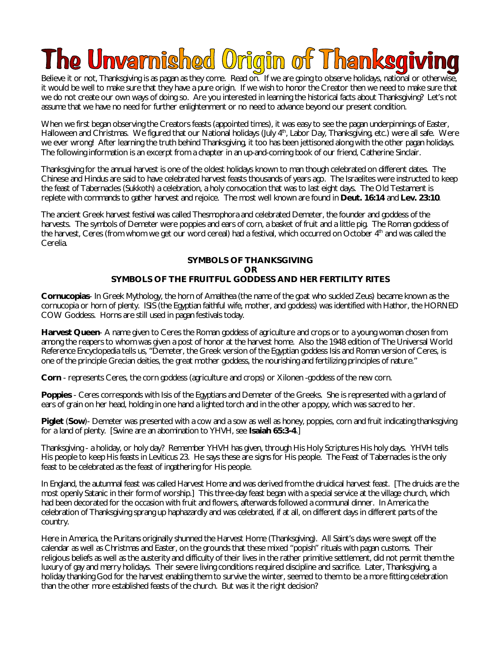## The Unvarnished Origin of Thanksgiving

Believe it or not, Thanksgiving is as pagan as they come. Read on. If we are going to observe holidays, national or otherwise, it would be well to make sure that they have a pure origin. If we wish to honor the Creator then we need to make sure that we do not create our own ways of doing so. Are you interested in learning the historical facts about Thanksgiving? Let's not assume that we have no need for further enlightenment or no need to advance beyond our present condition.

When we first began observing the Creators feasts (appointed times), it was easy to see the pagan underpinnings of Easter, Halloween and Christmas. We figured that our National holidays (July 4<sup>th</sup>, Labor Day, Thanksgiving, etc.) were all safe. Were we ever wrong! After learning the truth behind Thanksgiving, it too has been jettisoned along with the other pagan holidays. The following information is an excerpt from a chapter in an up-and-coming book of our friend, Catherine Sinclair.

Thanksgiving for the annual harvest is one of the oldest holidays known to man though celebrated on different dates. The Chinese and Hindus are said to have celebrated harvest feasts thousands of years ago. The Israelites were instructed to keep the feast of Tabernacles (Sukkoth) a celebration, a holy convocation that was to last eight days. The Old Testament is replete with commands to gather harvest and rejoice. The most well known are found in **Deut. 16:14** and **Lev. 23:10**.

The ancient Greek harvest festival was called Thesmophora and celebrated Demeter, the founder and goddess of the harvests. The symbols of Demeter were poppies and ears of corn, a basket of fruit and a little pig. The Roman goddess of the harvest, Ceres (from whom we get our word cereal) had a festival, which occurred on October 4<sup>th</sup> and was called the Cerelia.

## **SYMBOLS OF THANKSGIVING OR SYMBOLS OF THE FRUITFUL GODDESS AND HER FERTILITY RITES**

**Cornucopias**- In Greek Mythology, the horn of Amalthea (the name of the goat who suckled Zeus) became known as the cornucopia or horn of plenty. ISIS (the Egyptian faithful wife, mother, and goddess) was identified with Hathor, the HORNED COW Goddess. Horns are still used in pagan festivals today.

**Harvest Queen**- A name given to Ceres the Roman goddess of agriculture and crops or to a young woman chosen from among the reapers to whom was given a post of honor at the harvest home. Also the 1948 edition of The Universal World Reference Encyclopedia tells us, "Demeter, the Greek version of the Egyptian goddess Isis and Roman version of Ceres, is one of the principle Grecian deities, the great mother goddess, the nourishing and fertilizing principles of nature."

**Corn** - represents Ceres, the corn goddess (agriculture and crops) or Xilonen -goddess of the new corn.

**Poppies** - Ceres corresponds with Isis of the Egyptians and Demeter of the Greeks. She is represented with a garland of ears of grain on her head, holding in one hand a lighted torch and in the other a poppy, which was sacred to her.

**Piglet (Sow)**- Demeter was presented with a cow and a sow as well as honey, poppies, corn and fruit indicating thanksgiving for a land of plenty. [Swine are an abomination to YHVH, see **Isaiah 65:3-4**.]

Thanksgiving - a holiday, or holy day? Remember YHVH has given, through His Holy Scriptures His holy days. YHVH tells His people to keep His feasts in Leviticus 23. He says these are signs for His people. The Feast of Tabernacles is the only feast to be celebrated as the feast of ingathering for His people.

In England, the autumnal feast was called Harvest Home and was derived from the druidical harvest feast. [The druids are the most openly Satanic in their form of worship.] This three-day feast began with a special service at the village church, which had been decorated for the occasion with fruit and flowers, afterwards followed a communal dinner. In America the celebration of Thanksgiving sprang up haphazardly and was celebrated, if at all, on different days in different parts of the country.

Here in America, the Puritans originally shunned the Harvest Home (Thanksgiving). All Saint's days were swept off the calendar as well as Christmas and Easter, on the grounds that these mixed "popish" rituals with pagan customs. Their religious beliefs as well as the austerity and difficulty of their lives in the rather primitive settlement, did not permit them the luxury of gay and merry holidays. Their severe living conditions required discipline and sacrifice. Later, Thanksgiving, a holiday thanking God for the harvest enabling them to survive the winter, seemed to them to be a more fitting celebration than the other more established feasts of the church. But was it the right decision?